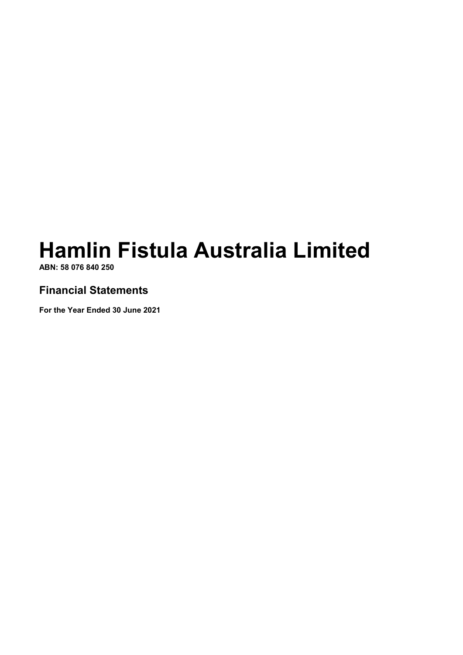**ABN: 58 076 840 250**

### **Financial Statements**

**For the Year Ended 30 June 2021**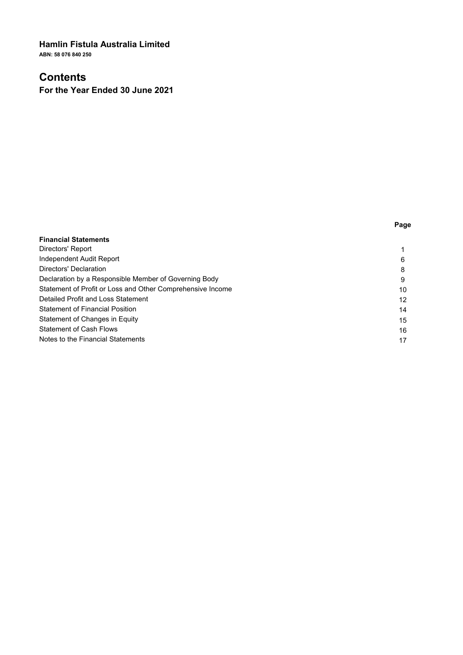**ABN: 58 076 840 250**

# **Contents**

**For the Year Ended 30 June 2021**

#### **Page**

| <b>Financial Statements</b>                                |    |
|------------------------------------------------------------|----|
| Directors' Report                                          |    |
| Independent Audit Report                                   | 6  |
| Directors' Declaration                                     | 8  |
| Declaration by a Responsible Member of Governing Body      | 9  |
| Statement of Profit or Loss and Other Comprehensive Income | 10 |
| Detailed Profit and Loss Statement                         | 12 |
| <b>Statement of Financial Position</b>                     | 14 |
| Statement of Changes in Equity                             | 15 |
| <b>Statement of Cash Flows</b>                             | 16 |
| Notes to the Financial Statements                          | 17 |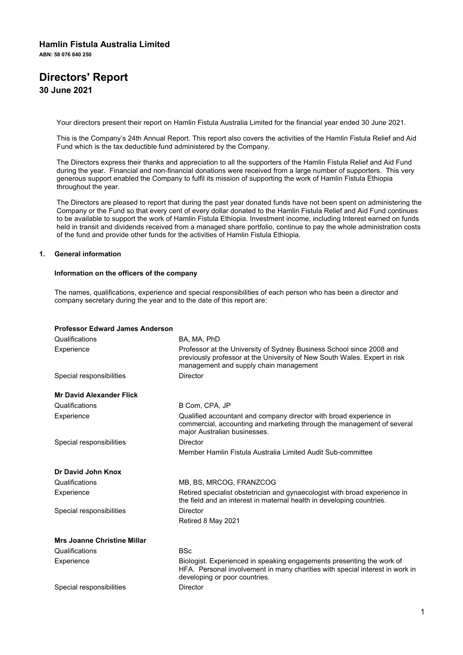**ABN: 58 076 840 250**

# **Directors' Report 30 June 2021**

Your directors present their report on Hamlin Fistula Australia Limited for the financial year ended 30 June 2021.

This is the Company's 24th Annual Report. This report also covers the activities of the Hamlin Fistula Relief and Aid Fund which is the tax deductible fund administered by the Company.

The Directors express their thanks and appreciation to all the supporters of the Hamlin Fistula Relief and Aid Fund during the year. Financial and non-financial donations were received from a large number of supporters. This very generous support enabled the Company to fulfil its mission of supporting the work of Hamlin Fistula Ethiopia throughout the year.

The Directors are pleased to report that during the past year donated funds have not been spent on administering the Company or the Fund so that every cent of every dollar donated to the Hamlin Fistula Relief and Aid Fund continues to be available to support the work of Hamlin Fistula Ethiopia. Investment income, including Interest earned on funds held in transit and dividends received from a managed share portfolio, continue to pay the whole administration costs of the fund and provide other funds for the activities of Hamlin Fistula Ethiopia.

#### **1. General information**

#### **Information on the officers of the company**

The names, qualifications, experience and special responsibilities of each person who has been a director and company secretary during the year and to the date of this report are:

| <b>Professor Edward James Anderson</b> |                                                                                                                                                                                             |
|----------------------------------------|---------------------------------------------------------------------------------------------------------------------------------------------------------------------------------------------|
| Qualifications                         | BA, MA, PhD                                                                                                                                                                                 |
| Experience                             | Professor at the University of Sydney Business School since 2008 and<br>previously professor at the University of New South Wales. Expert in risk<br>management and supply chain management |
| Special responsibilities               | <b>Director</b>                                                                                                                                                                             |
| <b>Mr David Alexander Flick</b>        |                                                                                                                                                                                             |
| Qualifications                         | B Com. CPA. JP                                                                                                                                                                              |
| Experience                             | Qualified accountant and company director with broad experience in<br>commercial, accounting and marketing through the management of several<br>major Australian businesses.                |
| Special responsibilities               | <b>Director</b>                                                                                                                                                                             |
|                                        | Member Hamlin Fistula Australia Limited Audit Sub-committee                                                                                                                                 |
| Dr David John Knox                     |                                                                                                                                                                                             |
| Qualifications                         | MB, BS, MRCOG, FRANZCOG                                                                                                                                                                     |
| Experience                             | Retired specialist obstetrician and gynaecologist with broad experience in<br>the field and an interest in maternal health in developing countries.                                         |
| Special responsibilities               | <b>Director</b>                                                                                                                                                                             |
|                                        | Retired 8 May 2021                                                                                                                                                                          |
| <b>Mrs Joanne Christine Millar</b>     |                                                                                                                                                                                             |
| Qualifications                         | <b>BSc</b>                                                                                                                                                                                  |
| Experience                             | Biologist. Experienced in speaking engagements presenting the work of<br>HFA. Personal involvement in many charities with special interest in work in<br>developing or poor countries.      |
| Special responsibilities               | <b>Director</b>                                                                                                                                                                             |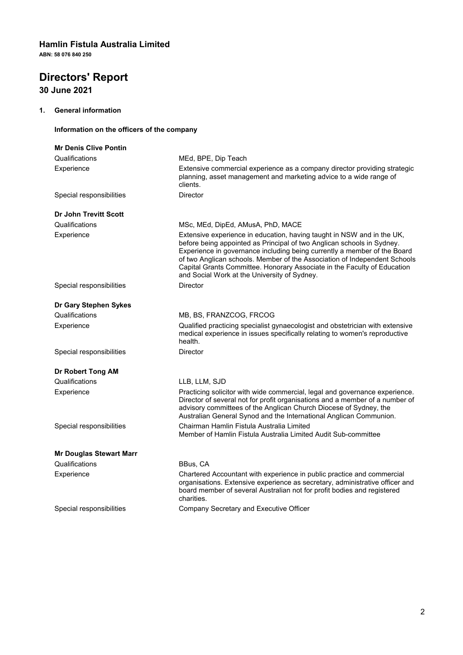**ABN: 58 076 840 250**

# **Directors' Report 30 June 2021**

#### **1. General information**

#### **Information on the officers of the company**

| <b>Mr Denis Clive Pontin</b>   |                                                                                                                                                                                                                                                                                                                                                                                                                                       |
|--------------------------------|---------------------------------------------------------------------------------------------------------------------------------------------------------------------------------------------------------------------------------------------------------------------------------------------------------------------------------------------------------------------------------------------------------------------------------------|
| Qualifications                 | MEd, BPE, Dip Teach                                                                                                                                                                                                                                                                                                                                                                                                                   |
| Experience                     | Extensive commercial experience as a company director providing strategic<br>planning, asset management and marketing advice to a wide range of<br>clients.                                                                                                                                                                                                                                                                           |
| Special responsibilities       | <b>Director</b>                                                                                                                                                                                                                                                                                                                                                                                                                       |
| <b>Dr John Trevitt Scott</b>   |                                                                                                                                                                                                                                                                                                                                                                                                                                       |
| Qualifications                 | MSc, MEd, DipEd, AMusA, PhD, MACE                                                                                                                                                                                                                                                                                                                                                                                                     |
| Experience                     | Extensive experience in education, having taught in NSW and in the UK,<br>before being appointed as Principal of two Anglican schools in Sydney.<br>Experience in governance including being currently a member of the Board<br>of two Anglican schools. Member of the Association of Independent Schools<br>Capital Grants Committee. Honorary Associate in the Faculty of Education<br>and Social Work at the University of Sydney. |
| Special responsibilities       | Director                                                                                                                                                                                                                                                                                                                                                                                                                              |
| Dr Gary Stephen Sykes          |                                                                                                                                                                                                                                                                                                                                                                                                                                       |
| Qualifications                 | MB, BS, FRANZCOG, FRCOG                                                                                                                                                                                                                                                                                                                                                                                                               |
| Experience                     | Qualified practicing specialist gynaecologist and obstetrician with extensive<br>medical experience in issues specifically relating to women's reproductive<br>health.                                                                                                                                                                                                                                                                |
| Special responsibilities       | <b>Director</b>                                                                                                                                                                                                                                                                                                                                                                                                                       |
| <b>Dr Robert Tong AM</b>       |                                                                                                                                                                                                                                                                                                                                                                                                                                       |
| Qualifications                 | LLB, LLM, SJD                                                                                                                                                                                                                                                                                                                                                                                                                         |
| Experience                     | Practicing solicitor with wide commercial, legal and governance experience.<br>Director of several not for profit organisations and a member of a number of<br>advisory committees of the Anglican Church Diocese of Sydney, the<br>Australian General Synod and the International Anglican Communion.                                                                                                                                |
| Special responsibilities       | Chairman Hamlin Fistula Australia Limited<br>Member of Hamlin Fistula Australia Limited Audit Sub-committee                                                                                                                                                                                                                                                                                                                           |
| <b>Mr Douglas Stewart Marr</b> |                                                                                                                                                                                                                                                                                                                                                                                                                                       |
| Qualifications                 | BBus, CA                                                                                                                                                                                                                                                                                                                                                                                                                              |
| Experience                     | Chartered Accountant with experience in public practice and commercial<br>organisations. Extensive experience as secretary, administrative officer and<br>board member of several Australian not for profit bodies and registered<br>charities.                                                                                                                                                                                       |
| Special responsibilities       | Company Secretary and Executive Officer                                                                                                                                                                                                                                                                                                                                                                                               |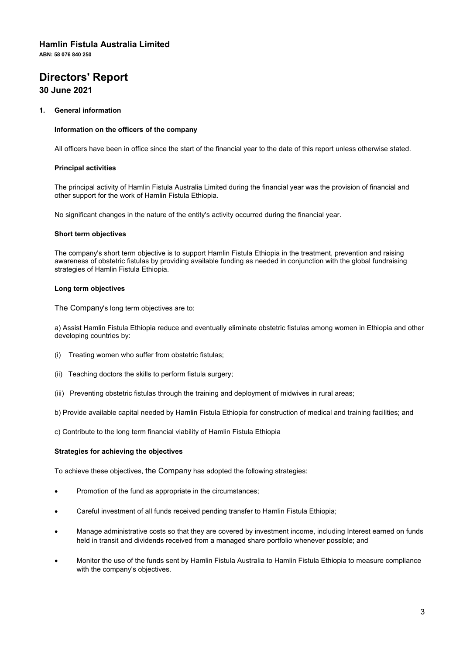**ABN: 58 076 840 250**

# **Directors' Report 30 June 2021**

#### **1. General information**

#### **Information on the officers of the company**

All officers have been in office since the start of the financial year to the date of this report unless otherwise stated.

#### **Principal activities**

The principal activity of Hamlin Fistula Australia Limited during the financial year was the provision of financial and other support for the work of Hamlin Fistula Ethiopia.

No significant changes in the nature of the entity's activity occurred during the financial year.

#### **Short term objectives**

The company's short term objective is to support Hamlin Fistula Ethiopia in the treatment, prevention and raising awareness of obstetric fistulas by providing available funding as needed in conjunction with the global fundraising strategies of Hamlin Fistula Ethiopia.

#### **Long term objectives**

The Company's long term objectives are to:

a) Assist Hamlin Fistula Ethiopia reduce and eventually eliminate obstetric fistulas among women in Ethiopia and other developing countries by:

- (i) Treating women who suffer from obstetric fistulas;
- (ii) Teaching doctors the skills to perform fistula surgery;
- (iii) Preventing obstetric fistulas through the training and deployment of midwives in rural areas;
- b) Provide available capital needed by Hamlin Fistula Ethiopia for construction of medical and training facilities; and
- c) Contribute to the long term financial viability of Hamlin Fistula Ethiopia

#### **Strategies for achieving the objectives**

To achieve these objectives, the Company has adopted the following strategies:

- Promotion of the fund as appropriate in the circumstances;
- Careful investment of all funds received pending transfer to Hamlin Fistula Ethiopia;
- Manage administrative costs so that they are covered by investment income, including Interest earned on funds held in transit and dividends received from a managed share portfolio whenever possible; and
- Monitor the use of the funds sent by Hamlin Fistula Australia to Hamlin Fistula Ethiopia to measure compliance with the company's objectives.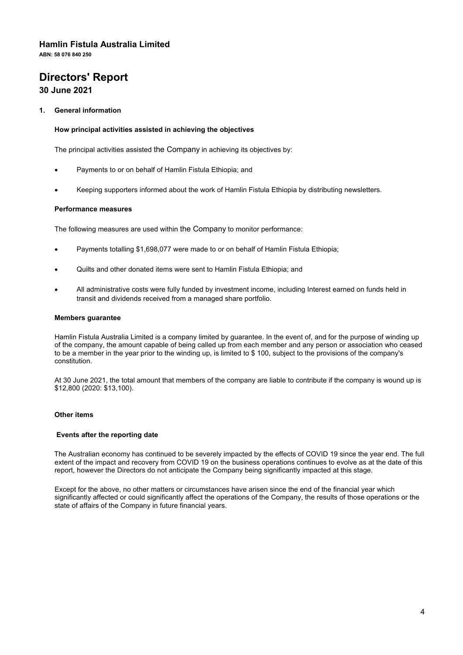**ABN: 58 076 840 250**

### **Directors' Report 30 June 2021**

#### **1. General information**

#### **How principal activities assisted in achieving the objectives**

The principal activities assisted the Company in achieving its objectives by:

- Payments to or on behalf of Hamlin Fistula Ethiopia; and
- Keeping supporters informed about the work of Hamlin Fistula Ethiopia by distributing newsletters.

#### **Performance measures**

The following measures are used within the Company to monitor performance:

- Payments totalling \$1,698,077 were made to or on behalf of Hamlin Fistula Ethiopia;
- Quilts and other donated items were sent to Hamlin Fistula Ethiopia; and
- All administrative costs were fully funded by investment income, including Interest earned on funds held in transit and dividends received from a managed share portfolio.

#### **Members guarantee**

Hamlin Fistula Australia Limited is a company limited by guarantee. In the event of, and for the purpose of winding up of the company, the amount capable of being called up from each member and any person or association who ceased to be a member in the year prior to the winding up, is limited to \$ 100, subject to the provisions of the company's constitution.

At 30 June 2021, the total amount that members of the company are liable to contribute if the company is wound up is \$12,800 (2020: \$13,100).

#### **Other items**

#### **Events after the reporting date**

 The Australian economy has continued to be severely impacted by the effects of COVID 19 since the year end. The full extent of the impact and recovery from COVID 19 on the business operations continues to evolve as at the date of this report, however the Directors do not anticipate the Company being significantly impacted at this stage.

Except for the above, no other matters or circumstances have arisen since the end of the financial year which significantly affected or could significantly affect the operations of the Company, the results of those operations or the state of affairs of the Company in future financial years.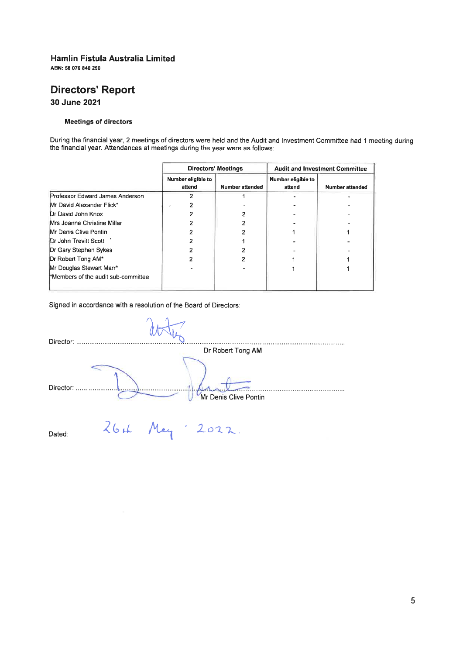#### Hamlin Fistula Australia Limited ABN: 58 076 840 250

### **Directors' Report** 30 June 2021

#### **Meetings of directors**

During the financial year, 2 meetings of directors were held and the Audit and Investment Committee had 1 meeting during<br>the financial year. Attendances at meetings during the year were as follows:

|                                    | <b>Directors' Meetings</b>   |                 | <b>Audit and Investment Committee</b> |                 |  |
|------------------------------------|------------------------------|-----------------|---------------------------------------|-----------------|--|
|                                    | Number eligible to<br>attend | Number attended | Number eligible to<br>attend          | Number attended |  |
| Professor Edward James Anderson    |                              |                 |                                       |                 |  |
| Mr David Alexander Flick*          |                              |                 |                                       |                 |  |
| Dr David John Knox                 |                              |                 |                                       |                 |  |
| Mrs Joanne Christine Millar        |                              |                 |                                       |                 |  |
| Mr Denis Clive Pontin              |                              |                 |                                       |                 |  |
| Dr John Trevitt Scott              |                              |                 |                                       |                 |  |
| Dr Gary Stephen Sykes              |                              |                 |                                       |                 |  |
| Dr Robert Tong AM*                 |                              |                 |                                       |                 |  |
| Mr Douglas Stewart Marr*           |                              |                 |                                       |                 |  |
| Members of the audit sub-committee |                              |                 |                                       |                 |  |

Signed in accordance with a resolution of the Board of Directors:

| Director: |                       |
|-----------|-----------------------|
|           | Dr Robert Tong AM     |
| Director: | Mr Denis Clive Pontin |
| Dated:    | $26th$ May 2022.      |

 $\overline{5}$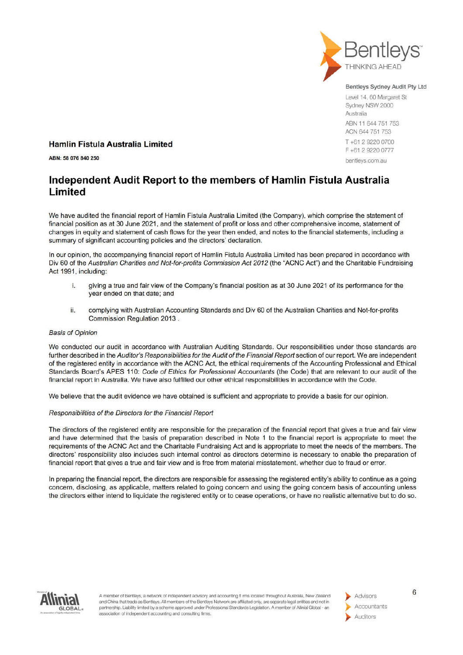

Bentleys Sydney Audit Pty Ltd Level 14, 60 Margaret St Sydney NSW 2000 Australia ABN 11 644 751 753 ACN 644 751 753 T +61 2 9220 0700 F +61 2 9220 0777 bentleys.com.au

#### Hamlin Fistula Australia Limited

ABN: 58 076 840 250

### Independent Audit Report to the members of Hamlin Fistula Australia Limited

We have audited the financial report of Hamlin Fistula Australia Limited (the Company), which comprise the statement of financial position as at 30 June 2021, and the statement of profit or loss and other comprehensive income, statement of changes in equity and statement of cash flows for the year then ended, and notes to the financial statements, including a summary of significant accounting policies and the directors' declaration.

In our opinion, the accompanying financial report of Hamlin Fistula Australia Limited has been prepared in accordance with Div 60 of the Australian Charities and Not-for-profits Commission Act 2012 (the "ACNC Act") and the Charitable Fundraising Act 1991, including:

- i. giving a true and fair view of the Company's financial position as at 30 June 2021 of its performance for the year ended on that date; and
- ii. complying with Australian Accounting Standards and Div 60 of the Australian Charities and Not-for-profits Commission Regulation 2013.

#### **Basis of Opinion**

We conducted our audit in accordance with Australian Auditing Standards. Our responsibilities under those standards are further described in the Auditor's Responsibilities for the Audit of the Financial Report section of our report. We are independent of the registered entity in accordance with the ACNC Act, the ethical requirements of the Accounting Professional and Ethical Standards Board's APES 110: Code of Ethics for Professional Accountants (the Code) that are relevant to our audit of the financial report in Australia. We have also fulfilled our other ethical responsibilities in accordance with the Code.

We believe that the audit evidence we have obtained is sufficient and appropriate to provide a basis for our opinion.

#### Responsibilities of the Directors for the Financial Report

The directors of the registered entity are responsible for the preparation of the financial report that gives a true and fair view and have determined that the basis of preparation described in Note 1 to the financial report is appropriate to meet the requirements of the ACNC Act and the Charitable Fundraising Act and is appropriate to meet the needs of the members. The directors' responsibility also includes such internal control as directors determine is necessary to enable the preparation of financial report that gives a true and fair view and is free from material misstatement, whether due to fraud or error.

In preparing the financial report, the directors are responsible for assessing the registered entity's ability to continue as a going concern, disclosing, as applicable, matters related to going concern and using the going concern basis of accounting unless the directors either intend to liquidate the registered entity or to cease operations, or have no realistic alternative but to do so.



A member of Bentleys, a network of independent advisory and accounting fi ms located throughout Australia, New Zealand and China that trade as Bentleys. All members of the Bentleys Network are affiliated only, are separate legal entities and not in partnership. Liability limited by a scheme approved under Professional Standards Legislation. A member of Allinial Global - an association of independent accounting and consulting firms.

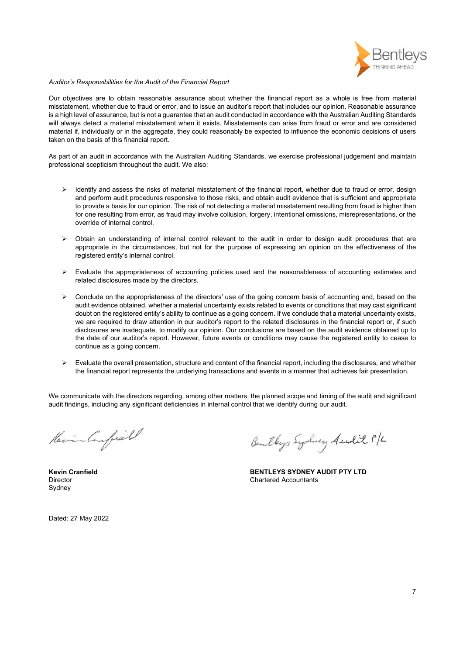

#### Auditor's Responsibilities for the Audit of the Financial Report

Our objectives are to obtain reasonable assurance about whether the financial report as a whole is free from material misstatement, whether due to fraud or error, and to issue an auditor's report that includes our opinion. Reasonable assurance is a high level of assurance, but is not a guarantee that an audit conducted in accordance with the Australian Auditing Standards will always detect a material misstatement when it exists. Misstatements can arise from fraud or error and are considered material if, individually or in the aggregate, they could reasonably be expected to influence the economic decisions of users taken on the basis of this financial report.

As part of an audit in accordance with the Australian Auditing Standards, we exercise professional judgement and maintain professional scepticism throughout the audit. We also:

- $\triangleright$  Identify and assess the risks of material misstatement of the financial report, whether due to fraud or error, design and perform audit procedures responsive to those risks, and obtain audit evidence that is sufficient and appropriate to provide a basis for our opinion. The risk of not detecting a material misstatement resulting from fraud is higher than for one resulting from error, as fraud may involve collusion, forgery, intentional omissions, misrepresentations, or the override of internal control.
- $\triangleright$  Obtain an understanding of internal control relevant to the audit in order to design audit procedures that are appropriate in the circumstances, but not for the purpose of expressing an opinion on the effectiveness of the registered entity's internal control.
- $\triangleright$  Evaluate the appropriateness of accounting policies used and the reasonableness of accounting estimates and related disclosures made by the directors.
- $\triangleright$  Conclude on the appropriateness of the directors' use of the going concern basis of accounting and, based on the audit evidence obtained, whether a material uncertainty exists related to events or conditions that may cast significant doubt on the registered entity's ability to continue as a going concern. If we conclude that a material uncertainty exists, we are required to draw attention in our auditor's report to the related disclosures in the financial report or, if such disclosures are inadequate, to modify our opinion. Our conclusions are based on the audit evidence obtained up to the date of our auditor's report. However, future events or conditions may cause the registered entity to cease to continue as a going concern.
- $\triangleright$  Evaluate the overall presentation, structure and content of the financial report, including the disclosures, and whether the financial report represents the underlying transactions and events in a manner that achieves fair presentation.

We communicate with the directors regarding, among other matters, the planned scope and timing of the audit and significant audit findings, including any significant deficiencies in internal control that we identify during our audit.

Kevinhapiel

Sydney

Bentleys Sydney Audit PL

**Kevin Cranfield 
Senarch 2008**<br>
Director<br>
Chartered Accountants Chartered Accountants

Dated: 27 May 2022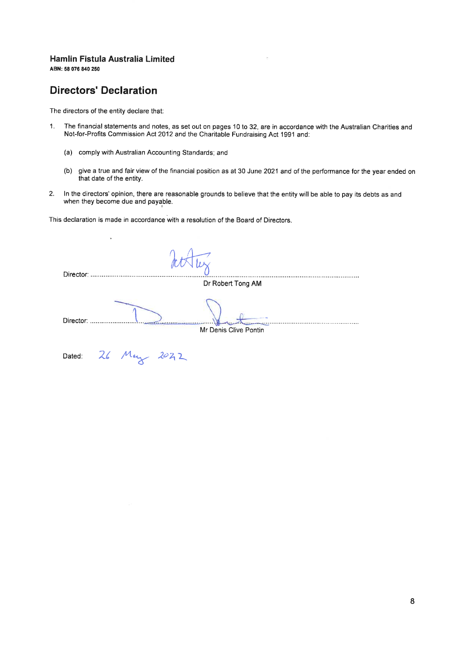ABN: 58 076 840 250

# **Directors' Declaration**

The directors of the entity declare that:

- The financial statements and notes, as set out on pages 10 to 32, are in accordance with the Australian Charities and 1. Not-for-Profits Commission Act 2012 and the Charitable Fundraising Act 1991 and:
	- (a) comply with Australian Accounting Standards; and
	- (b) give a true and fair view of the financial position as at 30 June 2021 and of the performance for the year ended on that date of the entity.
- 2. In the directors' opinion, there are reasonable grounds to believe that the entity will be able to pay its debts as and when they become due and payable.

This declaration is made in accordance with a resolution of the Board of Directors.

| Director: |                       |
|-----------|-----------------------|
|           | Dr Robert Tong AM     |
| Director: | Mr Denis Clive Pontin |
| Dated:    | 26 May 2022           |

8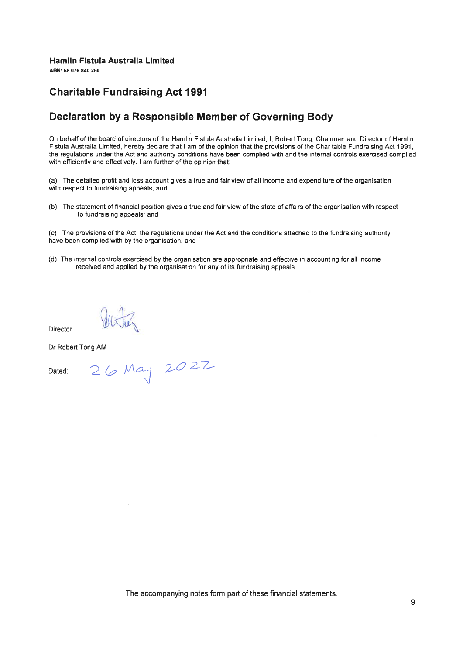#### Hamlin Fistula Australia Limited ABN: 58 076 840 250

# **Charitable Fundraising Act 1991**

# Declaration by a Responsible Member of Governing Body

On behalf of the board of directors of the Hamlin Fistula Australia Limited, I, Robert Tong, Chairman and Director of Hamlin Fistula Australia Limited, hereby declare that I am of the opinion that the provisions of the Charitable Fundraising Act 1991, the regulations under the Act and authority conditions have been complied with and the internal controls exercised complied with efficiently and effectively. I am further of the opinion that:

(a) The detailed profit and loss account gives a true and fair view of all income and expenditure of the organisation with respect to fundraising appeals; and

(b) The statement of financial position gives a true and fair view of the state of affairs of the organisation with respect to fundraising appeals; and

(c) The provisions of the Act, the regulations under the Act and the conditions attached to the fundraising authority have been complied with by the organisation; and

(d) The internal controls exercised by the organisation are appropriate and effective in accounting for all income received and applied by the organisation for any of its fundraising appeals.

Director ............

Dr Robert Tong AM

Dated:

26 May 2022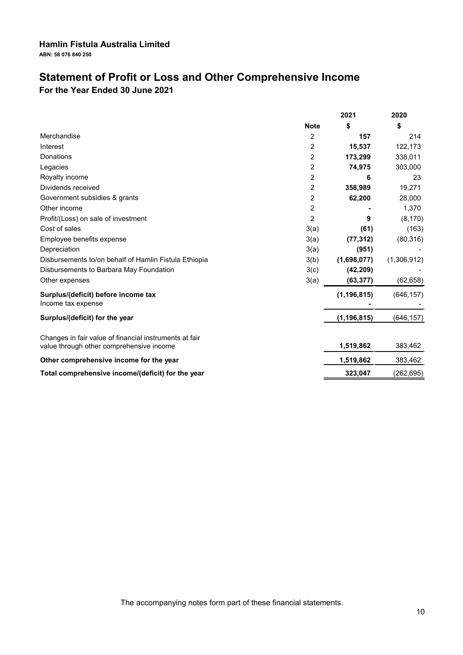# **Statement of Profit or Loss and Other Comprehensive Income**

**For the Year Ended 30 June 2021**

|                                                                                                    |                | 2021          | 2020        |
|----------------------------------------------------------------------------------------------------|----------------|---------------|-------------|
|                                                                                                    | <b>Note</b>    | \$            | \$          |
| Merchandise                                                                                        | 2              | 157           | 214         |
| Interest                                                                                           | 2              | 15,537        | 122,173     |
| Donations                                                                                          | 2              | 173,299       | 338,011     |
| Legacies                                                                                           | 2              | 74,975        | 303,000     |
| Royalty income                                                                                     | 2              | 6             | 23          |
| Dividends received                                                                                 | $\overline{2}$ | 358,989       | 19,271      |
| Government subsidies & grants                                                                      | 2              | 62,200        | 28,000      |
| Other income                                                                                       | 2              |               | 1,370       |
| Profit/(Loss) on sale of investment                                                                | 2              | 9             | (8, 170)    |
| Cost of sales                                                                                      | 3(a)           | (61)          | (163)       |
| Employee benefits expense                                                                          | 3(a)           | (77, 312)     | (80, 316)   |
| Depreciation                                                                                       | 3(a)           | (951)         |             |
| Disbursements to/on behalf of Hamlin Fistula Ethiopia                                              | 3(b)           | (1,698,077)   | (1,306,912) |
| Disbursements to Barbara May Foundation                                                            | 3(c)           | (42, 209)     |             |
| 3(a)<br>Other expenses                                                                             |                | (63, 377)     | (62, 658)   |
| Surplus/(deficit) before income tax                                                                |                | (1, 196, 815) | (646, 157)  |
| Income tax expense                                                                                 |                |               |             |
| Surplus/(deficit) for the year                                                                     |                | (1, 196, 815) | (646, 157)  |
|                                                                                                    |                |               |             |
| Changes in fair value of financial instruments at fair<br>value through other comprehensive income |                | 1,519,862     | 383,462     |
| Other comprehensive income for the year                                                            |                | 1,519,862     | 383,462     |
| Total comprehensive income/(deficit) for the year                                                  |                | 323,047       | (262,695)   |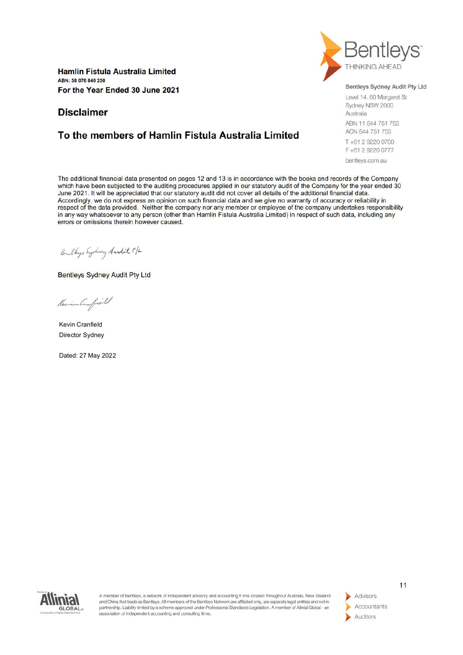Hamlin Fistula Australia Limited ABN:58076840250 For the Year Ended 30 June 2021

### Disclaimer

### To the members of Hamlin Fistula Australia Limited

The additional financial data presented on pages 12 and 13 is in accordance with the books and records of the Company which have been subjected to the auditing procedures applied in our statutory audit of the Company for the year ended 30 June 2021. It will be appreciated that our statutory audit did not cover all details of the additional financial data. Accordingly, we do not express an opinion on such financial data and we give no warranty of accuracy or reliability in respect of the data provided. Neither the company nor any member or employee of the company undertakes responsibility in any way whatsoever to any person (other than Hamlin Fistula Australia Limited) in respect of such data, including any errors or omissions therein however caused.

Bentleys Sydney Audit P/L

Bentleys Sydney Audit Pty Ltd

Kevinhapill

KevinCranfield Director Sydney

Dated:27 May 2022



Bentleys Sydney Audit Pty Ltd Level 14, 60 Margaret St Sydney NSW 2000 Australia ABN 11 644 751 753 ACN 644 751 753 T +61 2 9220 0700 F +61 2 9220 0777

bentleys.com.au



A member of Bentleys, a network of independent advisory and accounting fi ms located throughout Australia, New Zealand and China that trade as Bentleys. All members of the Bentleys Network are affiliated only, are separate legal entities and not in<br>partnership. Liability limited by a scheme approved under Professional Standards Legislation association of independent accounting and consulting firms.

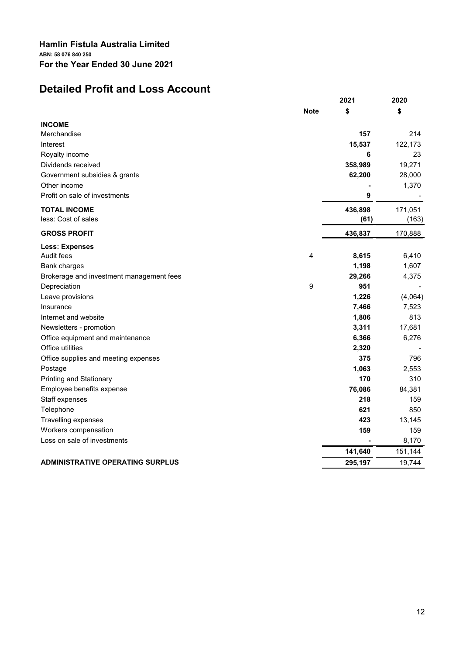# **Detailed Profit and Loss Account**

|                                          |             | 2021    | 2020    |
|------------------------------------------|-------------|---------|---------|
|                                          | <b>Note</b> | \$      | \$      |
| <b>INCOME</b>                            |             |         |         |
| Merchandise                              |             | 157     | 214     |
| Interest                                 |             | 15,537  | 122,173 |
| Royalty income                           |             | 6       | 23      |
| Dividends received                       |             | 358,989 | 19,271  |
| Government subsidies & grants            |             | 62,200  | 28,000  |
| Other income                             |             |         | 1,370   |
| Profit on sale of investments            |             | 9       |         |
| <b>TOTAL INCOME</b>                      |             | 436,898 | 171,051 |
| less: Cost of sales                      |             | (61)    | (163)   |
| <b>GROSS PROFIT</b>                      |             | 436,837 | 170,888 |
| <b>Less: Expenses</b>                    |             |         |         |
| Audit fees                               | 4           | 8,615   | 6,410   |
| Bank charges                             |             | 1,198   | 1,607   |
| Brokerage and investment management fees |             | 29,266  | 4,375   |
| Depreciation                             | 9           | 951     |         |
| Leave provisions                         |             | 1,226   | (4,064) |
| Insurance                                |             | 7,466   | 7,523   |
| Internet and website                     |             | 1,806   | 813     |
| Newsletters - promotion                  |             | 3,311   | 17,681  |
| Office equipment and maintenance         |             | 6,366   | 6,276   |
| Office utilities                         |             | 2,320   |         |
| Office supplies and meeting expenses     |             | 375     | 796     |
| Postage                                  |             | 1,063   | 2,553   |
| <b>Printing and Stationary</b>           |             | 170     | 310     |
| Employee benefits expense                |             | 76,086  | 84,381  |
| Staff expenses                           |             | 218     | 159     |
| Telephone                                |             | 621     | 850     |
| <b>Travelling expenses</b>               |             | 423     | 13,145  |
| Workers compensation                     |             | 159     | 159     |
| Loss on sale of investments              |             |         | 8,170   |
|                                          |             | 141,640 | 151,144 |
| <b>ADMINISTRATIVE OPERATING SURPLUS</b>  |             | 295,197 | 19,744  |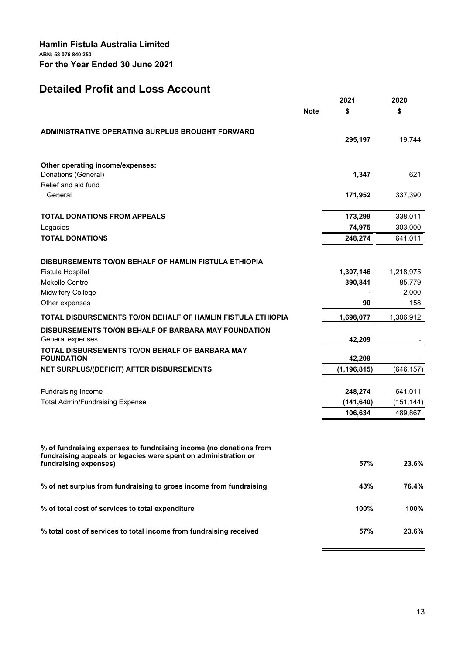# **Detailed Profit and Loss Account**

|                                                                                                                                                                | <b>Note</b> | 2021<br>\$    | 2020<br>\$            |
|----------------------------------------------------------------------------------------------------------------------------------------------------------------|-------------|---------------|-----------------------|
|                                                                                                                                                                |             |               |                       |
| <b>ADMINISTRATIVE OPERATING SURPLUS BROUGHT FORWARD</b>                                                                                                        |             | 295,197       | 19,744                |
| Other operating income/expenses:                                                                                                                               |             |               |                       |
| Donations (General)<br>Relief and aid fund                                                                                                                     |             | 1,347         | 621                   |
| General                                                                                                                                                        |             | 171,952       | 337,390               |
| <b>TOTAL DONATIONS FROM APPEALS</b>                                                                                                                            |             | 173,299       | 338,011               |
| Legacies                                                                                                                                                       |             | 74,975        | 303,000               |
| <b>TOTAL DONATIONS</b>                                                                                                                                         |             | 248,274       | 641,011               |
| <b>DISBURSEMENTS TO/ON BEHALF OF HAMLIN FISTULA ETHIOPIA</b>                                                                                                   |             |               |                       |
| Fistula Hospital                                                                                                                                               |             | 1,307,146     | 1,218,975             |
| <b>Mekelle Centre</b>                                                                                                                                          |             | 390,841       | 85,779                |
| <b>Midwifery College</b>                                                                                                                                       |             |               | 2,000                 |
| Other expenses                                                                                                                                                 |             | 90            | 158                   |
| TOTAL DISBURSEMENTS TO/ON BEHALF OF HAMLIN FISTULA ETHIOPIA                                                                                                    |             | 1,698,077     | 1,306,912             |
| DISBURSEMENTS TO/ON BEHALF OF BARBARA MAY FOUNDATION                                                                                                           |             |               |                       |
| General expenses                                                                                                                                               |             | 42,209        |                       |
| TOTAL DISBURSEMENTS TO/ON BEHALF OF BARBARA MAY<br><b>FOUNDATION</b>                                                                                           |             | 42,209        |                       |
| NET SURPLUS/(DEFICIT) AFTER DISBURSEMENTS                                                                                                                      |             | (1, 196, 815) | (646, 157)            |
|                                                                                                                                                                |             | 248,274       |                       |
| Fundraising Income<br><b>Total Admin/Fundraising Expense</b>                                                                                                   |             | (141, 640)    | 641,011<br>(151, 144) |
|                                                                                                                                                                |             | 106,634       | 489,867               |
|                                                                                                                                                                |             |               |                       |
| % of fundraising expenses to fundraising income (no donations from<br>fundraising appeals or legacies were spent on administration or<br>fundraising expenses) |             | 57%           | 23.6%                 |
| % of net surplus from fundraising to gross income from fundraising                                                                                             |             | 43%           | 76.4%                 |
| % of total cost of services to total expenditure                                                                                                               |             | 100%          | 100%                  |
| % total cost of services to total income from fundraising received                                                                                             |             | 57%           | 23.6%                 |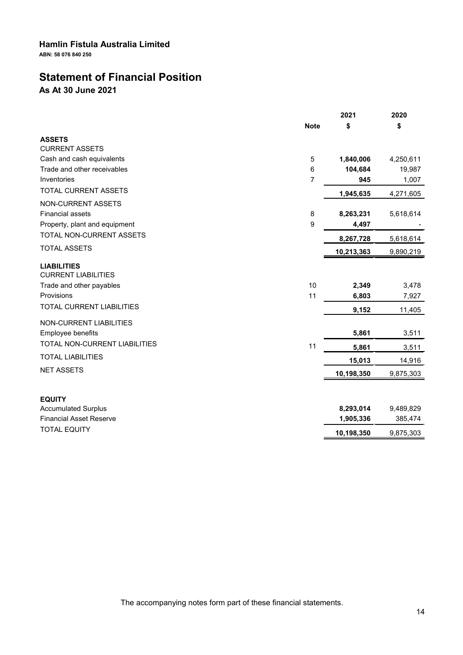# **Statement of Financial Position**

**As At 30 June 2021**

|                                                  |                | 2021       | 2020      |
|--------------------------------------------------|----------------|------------|-----------|
|                                                  | <b>Note</b>    | \$         | \$        |
| <b>ASSETS</b>                                    |                |            |           |
| <b>CURRENT ASSETS</b>                            |                |            |           |
| Cash and cash equivalents                        | 5              | 1,840,006  | 4,250,611 |
| Trade and other receivables                      | 6              | 104,684    | 19,987    |
| Inventories                                      | $\overline{7}$ | 945        | 1,007     |
| TOTAL CURRENT ASSETS                             |                | 1,945,635  | 4,271,605 |
| NON-CURRENT ASSETS                               |                |            |           |
| <b>Financial assets</b>                          | 8              | 8,263,231  | 5,618,614 |
| Property, plant and equipment                    | 9              | 4,497      |           |
| TOTAL NON-CURRENT ASSETS                         |                | 8,267,728  | 5,618,614 |
| <b>TOTAL ASSETS</b>                              |                | 10,213,363 | 9,890,219 |
| <b>LIABILITIES</b><br><b>CURRENT LIABILITIES</b> |                |            |           |
| Trade and other payables                         | 10             | 2,349      | 3,478     |
| Provisions                                       | 11             | 6,803      | 7,927     |
| TOTAL CURRENT LIABILITIES                        |                | 9,152      | 11,405    |
| NON-CURRENT LIABILITIES                          |                |            |           |
| Employee benefits                                |                | 5,861      | 3,511     |
| TOTAL NON-CURRENT LIABILITIES                    | 11             | 5,861      | 3,511     |
| <b>TOTAL LIABILITIES</b>                         |                | 15,013     | 14,916    |
| <b>NET ASSETS</b>                                |                | 10,198,350 | 9,875,303 |
|                                                  |                |            |           |
| <b>EQUITY</b><br><b>Accumulated Surplus</b>      |                | 8,293,014  | 9,489,829 |
| <b>Financial Asset Reserve</b>                   |                | 1,905,336  | 385,474   |
| <b>TOTAL EQUITY</b>                              |                |            |           |
|                                                  |                | 10,198,350 | 9,875,303 |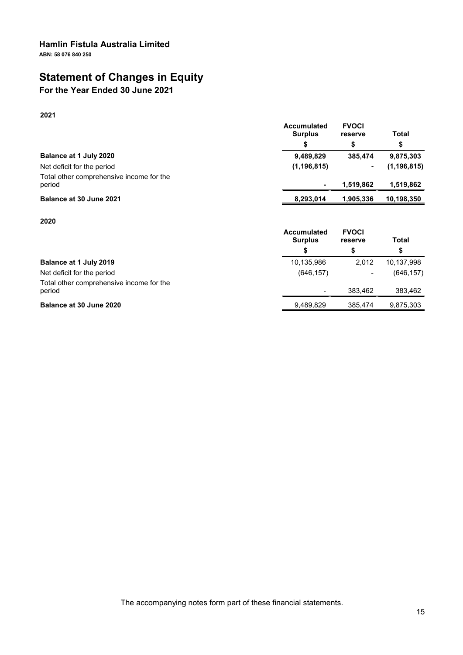# **Statement of Changes in Equity**

# **For the Year Ended 30 June 2021**

#### **2021**

| <b>Accumulated</b><br><b>Surplus</b> | <b>FVOCI</b><br>reserve | Total         |
|--------------------------------------|-------------------------|---------------|
| S                                    | \$                      | \$            |
| 9,489,829                            | 385.474                 | 9,875,303     |
| (1, 196, 815)                        | ۰                       | (1, 196, 815) |
| -                                    | 1.519.862               | 1,519,862     |
| 8,293,014                            | 1,905,336               | 10,198,350    |
|                                      |                         |               |

#### **2020**

| <b>Surplus</b> | reserve            | Total        |
|----------------|--------------------|--------------|
| \$             | \$                 | \$           |
| 10,135,986     | 2.012              | 10,137,998   |
| (646, 157)     | $\blacksquare$     | (646, 157)   |
|                | 383.462            | 383,462      |
| 9,489,829      | 385.474            | 9,875,303    |
|                | <b>Accumulated</b> | <b>FVOCI</b> |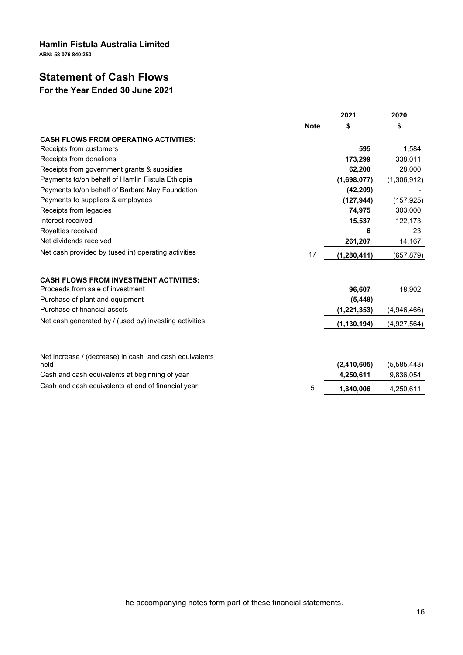**ABN: 58 076 840 250**

# **Statement of Cash Flows**

### **For the Year Ended 30 June 2021**

| <b>Note</b><br>\$<br>\$<br><b>CASH FLOWS FROM OPERATING ACTIVITIES:</b><br>595<br>Receipts from customers<br>338.011<br>Receipts from donations<br>173,299<br>62,200<br>Receipts from government grants & subsidies |            |
|---------------------------------------------------------------------------------------------------------------------------------------------------------------------------------------------------------------------|------------|
|                                                                                                                                                                                                                     |            |
|                                                                                                                                                                                                                     |            |
|                                                                                                                                                                                                                     | 1,584      |
|                                                                                                                                                                                                                     |            |
|                                                                                                                                                                                                                     | 28,000     |
| Payments to/on behalf of Hamlin Fistula Ethiopia<br>(1,306,912)<br>(1,698,077)                                                                                                                                      |            |
| Payments to/on behalf of Barbara May Foundation<br>(42, 209)                                                                                                                                                        |            |
| (127, 944)<br>Payments to suppliers & employees                                                                                                                                                                     | (157, 925) |
| Receipts from legacies<br>74,975                                                                                                                                                                                    | 303,000    |
| Interest received<br>15,537                                                                                                                                                                                         | 122,173    |
| Royalties received<br>6                                                                                                                                                                                             | 23         |
| Net dividends received<br>261,207                                                                                                                                                                                   | 14,167     |
| Net cash provided by (used in) operating activities<br>17<br>(1, 280, 411)                                                                                                                                          | (657, 879) |
|                                                                                                                                                                                                                     |            |
| <b>CASH FLOWS FROM INVESTMENT ACTIVITIES:</b>                                                                                                                                                                       |            |
| Proceeds from sale of investment<br>96,607                                                                                                                                                                          | 18,902     |
| Purchase of plant and equipment<br>(5, 448)                                                                                                                                                                         |            |
| Purchase of financial assets<br>(1, 221, 353)<br>(4,946,466)                                                                                                                                                        |            |
| Net cash generated by / (used by) investing activities<br>(1, 130, 194)<br>(4,927,564)                                                                                                                              |            |
|                                                                                                                                                                                                                     |            |
| Net increase / (decrease) in cash and cash equivalents                                                                                                                                                              |            |
| (2,410,605)<br>held<br>(5,585,443)                                                                                                                                                                                  |            |
| 4,250,611<br>9,836,054<br>Cash and cash equivalents at beginning of year                                                                                                                                            |            |
| Cash and cash equivalents at end of financial year<br>5<br>1,840,006<br>4,250,611                                                                                                                                   |            |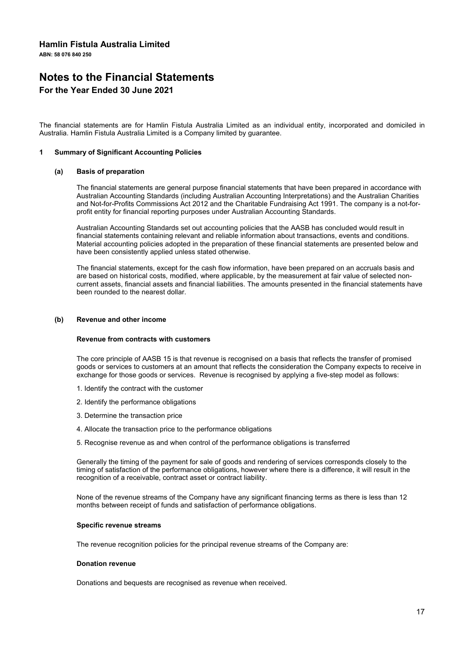# **Notes to the Financial Statements**

#### **For the Year Ended 30 June 2021**

The financial statements are for Hamlin Fistula Australia Limited as an individual entity, incorporated and domiciled in Australia. Hamlin Fistula Australia Limited is a Company limited by guarantee.

#### **1 Summary of Significant Accounting Policies**

#### **(a) Basis of preparation**

The financial statements are general purpose financial statements that have been prepared in accordance with Australian Accounting Standards (including Australian Accounting Interpretations) and the Australian Charities and Not-for-Profits Commissions Act 2012 and the Charitable Fundraising Act 1991. The company is a not-forprofit entity for financial reporting purposes under Australian Accounting Standards.

Australian Accounting Standards set out accounting policies that the AASB has concluded would result in financial statements containing relevant and reliable information about transactions, events and conditions. Material accounting policies adopted in the preparation of these financial statements are presented below and have been consistently applied unless stated otherwise.

The financial statements, except for the cash flow information, have been prepared on an accruals basis and are based on historical costs, modified, where applicable, by the measurement at fair value of selected noncurrent assets, financial assets and financial liabilities. The amounts presented in the financial statements have been rounded to the nearest dollar.

#### **(b) Revenue and other income**

#### **Revenue from contracts with customers**

The core principle of AASB 15 is that revenue is recognised on a basis that reflects the transfer of promised goods or services to customers at an amount that reflects the consideration the Company expects to receive in exchange for those goods or services. Revenue is recognised by applying a five-step model as follows:

- 1. Identify the contract with the customer
- 2. Identify the performance obligations
- 3. Determine the transaction price
- 4. Allocate the transaction price to the performance obligations
- 5. Recognise revenue as and when control of the performance obligations is transferred

Generally the timing of the payment for sale of goods and rendering of services corresponds closely to the timing of satisfaction of the performance obligations, however where there is a difference, it will result in the recognition of a receivable, contract asset or contract liability.

None of the revenue streams of the Company have any significant financing terms as there is less than 12 months between receipt of funds and satisfaction of performance obligations.

#### **Specific revenue streams**

The revenue recognition policies for the principal revenue streams of the Company are:

#### **Donation revenue**

Donations and bequests are recognised as revenue when received.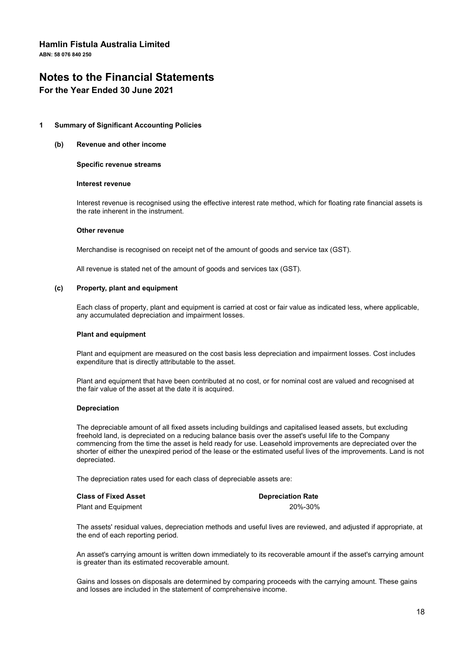**ABN: 58 076 840 250**

### **Notes to the Financial Statements**

**For the Year Ended 30 June 2021**

#### **1 Summary of Significant Accounting Policies**

**(b) Revenue and other income**

#### **Specific revenue streams**

#### **Interest revenue**

Interest revenue is recognised using the effective interest rate method, which for floating rate financial assets is the rate inherent in the instrument.

#### **Other revenue**

Merchandise is recognised on receipt net of the amount of goods and service tax (GST).

All revenue is stated net of the amount of goods and services tax (GST).

#### **(c) Property, plant and equipment**

Each class of property, plant and equipment is carried at cost or fair value as indicated less, where applicable, any accumulated depreciation and impairment losses.

#### **Plant and equipment**

Plant and equipment are measured on the cost basis less depreciation and impairment losses. Cost includes expenditure that is directly attributable to the asset.

Plant and equipment that have been contributed at no cost, or for nominal cost are valued and recognised at the fair value of the asset at the date it is acquired.

#### **Depreciation**

The depreciable amount of all fixed assets including buildings and capitalised leased assets, but excluding freehold land, is depreciated on a reducing balance basis over the asset's useful life to the Company commencing from the time the asset is held ready for use. Leasehold improvements are depreciated over the shorter of either the unexpired period of the lease or the estimated useful lives of the improvements. Land is not depreciated.

The depreciation rates used for each class of depreciable assets are:

| <b>Class of Fixed Asset</b> | <b>Depreciation Rate</b> |
|-----------------------------|--------------------------|
| <b>Plant and Equipment</b>  | 20%-30%                  |

The assets' residual values, depreciation methods and useful lives are reviewed, and adjusted if appropriate, at the end of each reporting period.

An asset's carrying amount is written down immediately to its recoverable amount if the asset's carrying amount is greater than its estimated recoverable amount.

Gains and losses on disposals are determined by comparing proceeds with the carrying amount. These gains and losses are included in the statement of comprehensive income.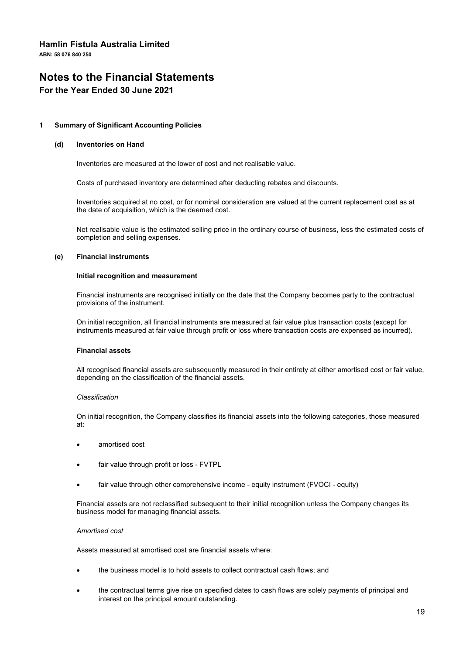**ABN: 58 076 840 250**

# **Notes to the Financial Statements**

**For the Year Ended 30 June 2021**

#### **1 Summary of Significant Accounting Policies**

#### **(d) Inventories on Hand**

Inventories are measured at the lower of cost and net realisable value.

Costs of purchased inventory are determined after deducting rebates and discounts.

Inventories acquired at no cost, or for nominal consideration are valued at the current replacement cost as at the date of acquisition, which is the deemed cost.

Net realisable value is the estimated selling price in the ordinary course of business, less the estimated costs of completion and selling expenses.

#### **(e) Financial instruments**

#### **Initial recognition and measurement**

Financial instruments are recognised initially on the date that the Company becomes party to the contractual provisions of the instrument.

On initial recognition, all financial instruments are measured at fair value plus transaction costs (except for instruments measured at fair value through profit or loss where transaction costs are expensed as incurred).

#### **Financial assets**

All recognised financial assets are subsequently measured in their entirety at either amortised cost or fair value, depending on the classification of the financial assets.

#### *Classification*

On initial recognition, the Company classifies its financial assets into the following categories, those measured at:

- amortised cost
- fair value through profit or loss FVTPL
- fair value through other comprehensive income equity instrument (FVOCI equity)

Financial assets are not reclassified subsequent to their initial recognition unless the Company changes its business model for managing financial assets.

#### *Amortised cost*

Assets measured at amortised cost are financial assets where:

- the business model is to hold assets to collect contractual cash flows; and
- the contractual terms give rise on specified dates to cash flows are solely payments of principal and interest on the principal amount outstanding.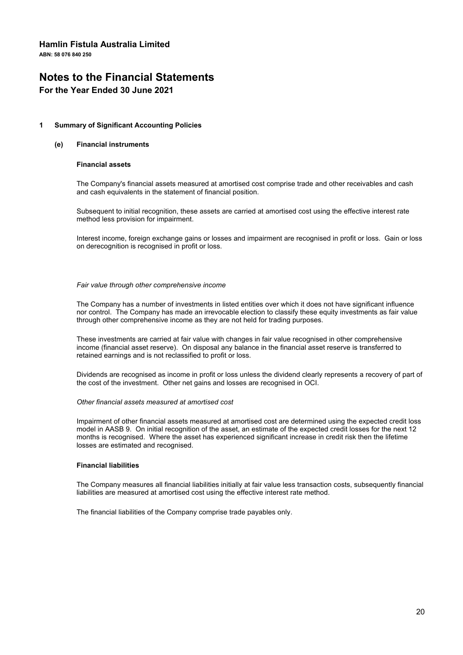**ABN: 58 076 840 250**

### **Notes to the Financial Statements**

**For the Year Ended 30 June 2021**

#### **1 Summary of Significant Accounting Policies**

#### **(e) Financial instruments**

#### **Financial assets**

The Company's financial assets measured at amortised cost comprise trade and other receivables and cash and cash equivalents in the statement of financial position.

Subsequent to initial recognition, these assets are carried at amortised cost using the effective interest rate method less provision for impairment.

Interest income, foreign exchange gains or losses and impairment are recognised in profit or loss. Gain or loss on derecognition is recognised in profit or loss.

#### *Fair value through other comprehensive income*

The Company has a number of investments in listed entities over which it does not have significant influence nor control. The Company has made an irrevocable election to classify these equity investments as fair value through other comprehensive income as they are not held for trading purposes.

These investments are carried at fair value with changes in fair value recognised in other comprehensive income (financial asset reserve). On disposal any balance in the financial asset reserve is transferred to retained earnings and is not reclassified to profit or loss.

Dividends are recognised as income in profit or loss unless the dividend clearly represents a recovery of part of the cost of the investment. Other net gains and losses are recognised in OCI.

#### *Other financial assets measured at amortised cost*

Impairment of other financial assets measured at amortised cost are determined using the expected credit loss model in AASB 9. On initial recognition of the asset, an estimate of the expected credit losses for the next 12 months is recognised. Where the asset has experienced significant increase in credit risk then the lifetime losses are estimated and recognised.

#### **Financial liabilities**

The Company measures all financial liabilities initially at fair value less transaction costs, subsequently financial liabilities are measured at amortised cost using the effective interest rate method.

The financial liabilities of the Company comprise trade payables only.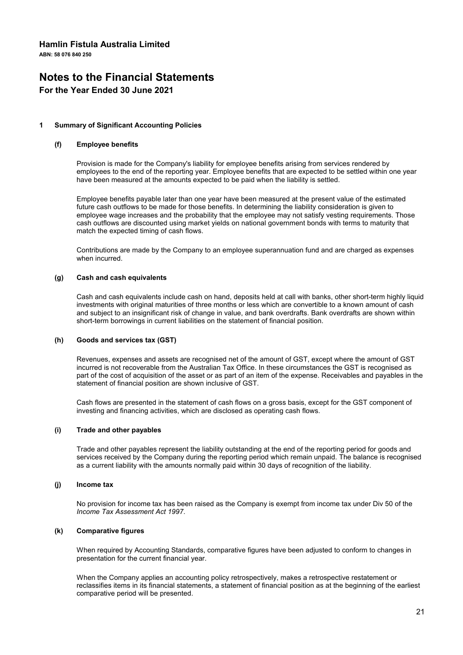**ABN: 58 076 840 250**

# **Notes to the Financial Statements**

**For the Year Ended 30 June 2021**

#### **1 Summary of Significant Accounting Policies**

#### **(f) Employee benefits**

Provision is made for the Company's liability for employee benefits arising from services rendered by employees to the end of the reporting year. Employee benefits that are expected to be settled within one year have been measured at the amounts expected to be paid when the liability is settled.

Employee benefits payable later than one year have been measured at the present value of the estimated future cash outflows to be made for those benefits. In determining the liability consideration is given to employee wage increases and the probability that the employee may not satisfy vesting requirements. Those cash outflows are discounted using market yields on national government bonds with terms to maturity that match the expected timing of cash flows.

Contributions are made by the Company to an employee superannuation fund and are charged as expenses when incurred.

#### **(g) Cash and cash equivalents**

Cash and cash equivalents include cash on hand, deposits held at call with banks, other short-term highly liquid investments with original maturities of three months or less which are convertible to a known amount of cash and subject to an insignificant risk of change in value, and bank overdrafts. Bank overdrafts are shown within short-term borrowings in current liabilities on the statement of financial position.

#### **(h) Goods and services tax (GST)**

Revenues, expenses and assets are recognised net of the amount of GST, except where the amount of GST incurred is not recoverable from the Australian Tax Office. In these circumstances the GST is recognised as part of the cost of acquisition of the asset or as part of an item of the expense. Receivables and payables in the statement of financial position are shown inclusive of GST.

Cash flows are presented in the statement of cash flows on a gross basis, except for the GST component of investing and financing activities, which are disclosed as operating cash flows.

#### **(i) Trade and other payables**

Trade and other payables represent the liability outstanding at the end of the reporting period for goods and services received by the Company during the reporting period which remain unpaid. The balance is recognised as a current liability with the amounts normally paid within 30 days of recognition of the liability.

#### **(j) Income tax**

No provision for income tax has been raised as the Company is exempt from income tax under Div 50 of the *Income Tax Assessment Act 1997*.

#### **(k) Comparative figures**

When required by Accounting Standards, comparative figures have been adjusted to conform to changes in presentation for the current financial year.

When the Company applies an accounting policy retrospectively, makes a retrospective restatement or reclassifies items in its financial statements, a statement of financial position as at the beginning of the earliest comparative period will be presented.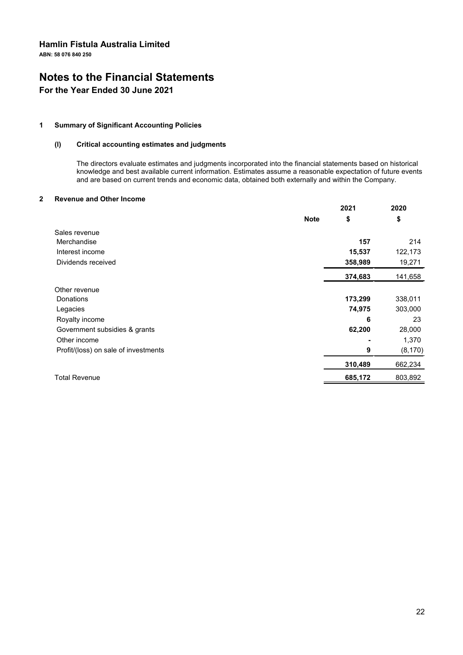**ABN: 58 076 840 250**

# **Notes to the Financial Statements**

**For the Year Ended 30 June 2021**

#### **1 Summary of Significant Accounting Policies**

#### **(l) Critical accounting estimates and judgments**

The directors evaluate estimates and judgments incorporated into the financial statements based on historical knowledge and best available current information. Estimates assume a reasonable expectation of future events and are based on current trends and economic data, obtained both externally and within the Company.

#### **2 Revenue and Other Income**

|                                      |             | 2021    | 2020     |
|--------------------------------------|-------------|---------|----------|
|                                      | <b>Note</b> | \$      | \$       |
| Sales revenue                        |             |         |          |
| Merchandise                          |             | 157     | 214      |
| Interest income                      |             | 15,537  | 122,173  |
| Dividends received                   |             | 358,989 | 19,271   |
|                                      |             | 374,683 | 141,658  |
| Other revenue                        |             |         |          |
| Donations                            |             | 173,299 | 338,011  |
| Legacies                             |             | 74,975  | 303,000  |
| Royalty income                       |             | 6       | 23       |
| Government subsidies & grants        |             | 62,200  | 28,000   |
| Other income                         |             |         | 1,370    |
| Profit/(loss) on sale of investments |             | 9       | (8, 170) |
|                                      |             | 310,489 | 662,234  |
| <b>Total Revenue</b>                 |             | 685,172 | 803,892  |
|                                      |             |         |          |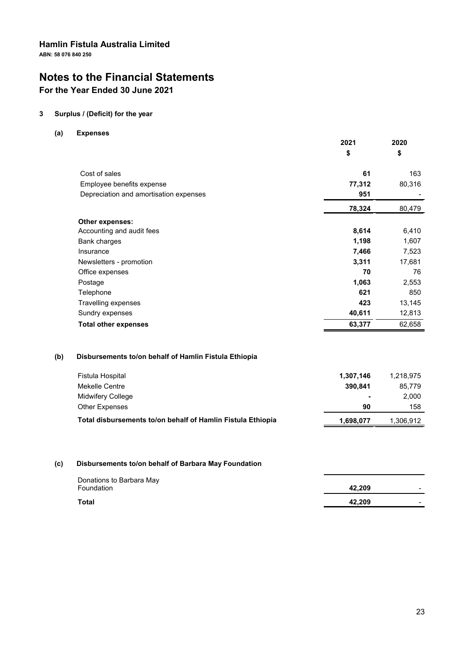**ABN: 58 076 840 250**

# **Notes to the Financial Statements**

**For the Year Ended 30 June 2021**

#### **3 Surplus / (Deficit) for the year**

**(a) Expenses**

|     |                                                       | 2021      | 2020      |
|-----|-------------------------------------------------------|-----------|-----------|
|     |                                                       | \$        | \$        |
|     | Cost of sales                                         | 61        | 163       |
|     | Employee benefits expense                             | 77,312    | 80,316    |
|     | Depreciation and amortisation expenses                | 951       |           |
|     |                                                       | 78,324    | 80,479    |
|     | Other expenses:                                       |           |           |
|     | Accounting and audit fees                             | 8,614     | 6,410     |
|     | Bank charges                                          | 1,198     | 1,607     |
|     | Insurance                                             | 7,466     | 7,523     |
|     | Newsletters - promotion                               | 3,311     | 17,681    |
|     | Office expenses                                       | 70        | 76        |
|     | Postage                                               | 1,063     | 2,553     |
|     | Telephone                                             | 621       | 850       |
|     | Travelling expenses                                   | 423       | 13,145    |
|     | Sundry expenses                                       | 40,611    | 12,813    |
|     | <b>Total other expenses</b>                           | 63,377    | 62,658    |
| (b) | Disbursements to/on behalf of Hamlin Fistula Ethiopia |           |           |
|     | Fistula Hospital                                      | 1,307,146 | 1,218,975 |
|     | Mekelle Centre                                        | 390,841   | 85,779    |

| <b>Other Expenses</b>                                       |           | 158       |
|-------------------------------------------------------------|-----------|-----------|
| Total disbursements to/on behalf of Hamlin Fistula Ethiopia | 1.698.077 | 1.306.912 |

Midwifery College **-** 2,000

#### **(c) Disbursements to/on behalf of Barbara May Foundation**

| Donations to Barbara May |                                    |
|--------------------------|------------------------------------|
| Foundation               | 42.209<br>$\overline{\phantom{0}}$ |
| Total                    | 42.209<br>$\overline{\phantom{0}}$ |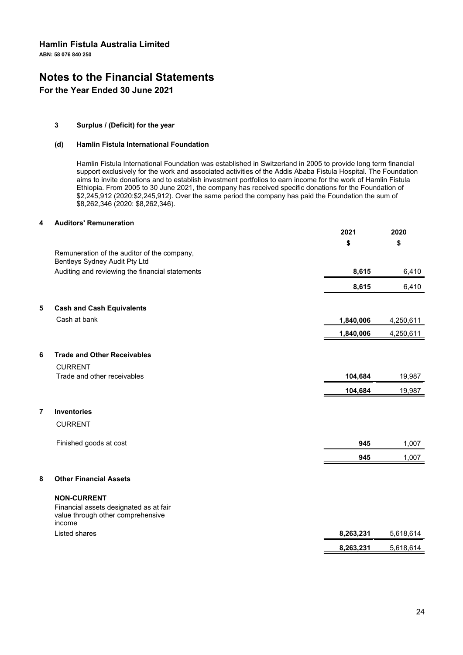**Notes to the Financial Statements**

**For the Year Ended 30 June 2021**

#### **3 Surplus / (Deficit) for the year**

#### **(d) Hamlin Fistula International Foundation**

Hamlin Fistula International Foundation was established in Switzerland in 2005 to provide long term financial support exclusively for the work and associated activities of the Addis Ababa Fistula Hospital. The Foundation aims to invite donations and to establish investment portfolios to earn income for the work of Hamlin Fistula Ethiopia. From 2005 to 30 June 2021, the company has received specific donations for the Foundation of \$2,245,912 (2020:\$2,245,912). Over the same period the company has paid the Foundation the sum of \$8,262,346 (2020: \$8,262,346).

#### **4 Auditors' Remuneration**

|   |                                                                                       | 2021      | 2020      |
|---|---------------------------------------------------------------------------------------|-----------|-----------|
|   |                                                                                       | \$        | \$        |
|   | Remuneration of the auditor of the company,<br>Bentleys Sydney Audit Pty Ltd          |           |           |
|   | Auditing and reviewing the financial statements                                       | 8,615     | 6,410     |
|   |                                                                                       | 8,615     | 6,410     |
| 5 | <b>Cash and Cash Equivalents</b>                                                      |           |           |
|   | Cash at bank                                                                          | 1,840,006 | 4,250,611 |
|   |                                                                                       | 1,840,006 | 4,250,611 |
| 6 | <b>Trade and Other Receivables</b>                                                    |           |           |
|   | <b>CURRENT</b>                                                                        |           |           |
|   | Trade and other receivables                                                           | 104,684   | 19,987    |
|   |                                                                                       | 104,684   | 19,987    |
|   |                                                                                       |           |           |
| 7 | <b>Inventories</b>                                                                    |           |           |
|   | <b>CURRENT</b>                                                                        |           |           |
|   | Finished goods at cost                                                                | 945       | 1,007     |
|   |                                                                                       | 945       | 1,007     |
| 8 | <b>Other Financial Assets</b>                                                         |           |           |
|   | <b>NON-CURRENT</b>                                                                    |           |           |
|   | Financial assets designated as at fair<br>value through other comprehensive<br>income |           |           |
|   | Listed shares                                                                         | 8,263,231 | 5,618,614 |
|   |                                                                                       | 8,263,231 | 5,618,614 |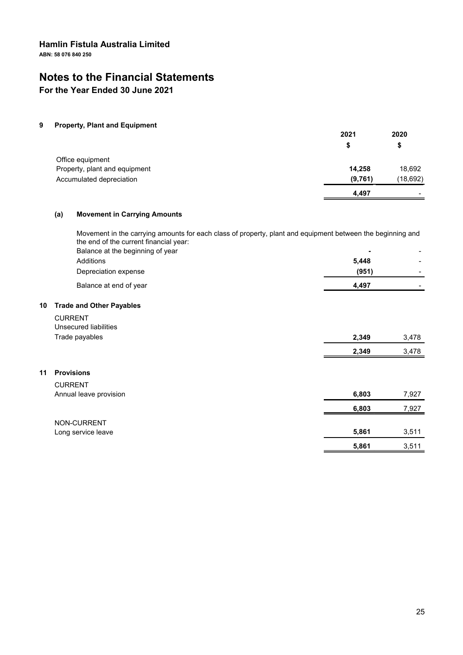# **Notes to the Financial Statements**

**For the Year Ended 30 June 2021**

#### **9 Property, Plant and Equipment**

|                               | 2021    | 2020                     |
|-------------------------------|---------|--------------------------|
|                               | S       | \$                       |
| Office equipment              |         |                          |
| Property, plant and equipment | 14,258  | 18,692                   |
| Accumulated depreciation      | (9,761) | (18, 692)                |
|                               | 4,497   | $\overline{\phantom{a}}$ |

#### **(a) Movement in Carrying Amounts**

|    | Movement in the carrying amounts for each class of property, plant and equipment between the beginning and<br>the end of the current financial year: |       |       |
|----|------------------------------------------------------------------------------------------------------------------------------------------------------|-------|-------|
|    | Balance at the beginning of year                                                                                                                     |       |       |
|    | Additions                                                                                                                                            | 5,448 |       |
|    | Depreciation expense                                                                                                                                 | (951) |       |
|    | Balance at end of year                                                                                                                               | 4,497 |       |
| 10 | <b>Trade and Other Payables</b>                                                                                                                      |       |       |
|    | <b>CURRENT</b>                                                                                                                                       |       |       |
|    | Unsecured liabilities                                                                                                                                |       |       |
|    | Trade payables                                                                                                                                       | 2,349 | 3,478 |
|    |                                                                                                                                                      | 2,349 | 3,478 |
| 11 | <b>Provisions</b>                                                                                                                                    |       |       |
|    | <b>CURRENT</b>                                                                                                                                       |       |       |
|    | Annual leave provision                                                                                                                               | 6,803 | 7,927 |
|    |                                                                                                                                                      | 6,803 | 7,927 |
|    | NON-CURRENT                                                                                                                                          |       |       |
|    | Long service leave                                                                                                                                   | 5,861 | 3,511 |
|    |                                                                                                                                                      | 5,861 | 3,511 |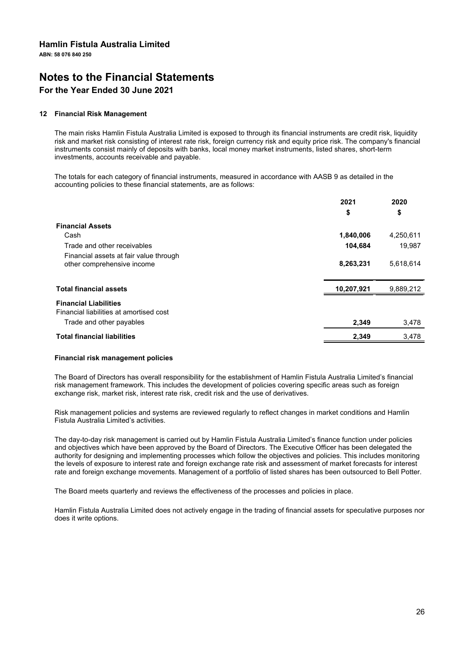# **Notes to the Financial Statements**

# **For the Year Ended 30 June 2021**

#### **12 Financial Risk Management**

The main risks Hamlin Fistula Australia Limited is exposed to through its financial instruments are credit risk, liquidity risk and market risk consisting of interest rate risk, foreign currency risk and equity price risk. The company's financial instruments consist mainly of deposits with banks, local money market instruments, listed shares, short-term investments, accounts receivable and payable.

The totals for each category of financial instruments, measured in accordance with AASB 9 as detailed in the accounting policies to these financial statements, are as follows:

|                                                                         | 2021       | 2020      |
|-------------------------------------------------------------------------|------------|-----------|
|                                                                         | \$         | \$        |
| <b>Financial Assets</b>                                                 |            |           |
| Cash                                                                    | 1,840,006  | 4,250,611 |
| Trade and other receivables                                             | 104,684    | 19,987    |
| Financial assets at fair value through<br>other comprehensive income    | 8,263,231  | 5,618,614 |
| <b>Total financial assets</b>                                           | 10,207,921 | 9,889,212 |
| <b>Financial Liabilities</b><br>Financial liabilities at amortised cost |            |           |
| Trade and other payables                                                | 2,349      | 3,478     |
| <b>Total financial liabilities</b>                                      | 2,349      | 3,478     |

#### **Financial risk management policies**

The Board of Directors has overall responsibility for the establishment of Hamlin Fistula Australia Limited's financial risk management framework. This includes the development of policies covering specific areas such as foreign exchange risk, market risk, interest rate risk, credit risk and the use of derivatives.

Risk management policies and systems are reviewed regularly to reflect changes in market conditions and Hamlin Fistula Australia Limited's activities.

The day-to-day risk management is carried out by Hamlin Fistula Australia Limited's finance function under policies and objectives which have been approved by the Board of Directors. The Executive Officer has been delegated the authority for designing and implementing processes which follow the objectives and policies. This includes monitoring the levels of exposure to interest rate and foreign exchange rate risk and assessment of market forecasts for interest rate and foreign exchange movements. Management of a portfolio of listed shares has been outsourced to Bell Potter.

The Board meets quarterly and reviews the effectiveness of the processes and policies in place.

Hamlin Fistula Australia Limited does not actively engage in the trading of financial assets for speculative purposes nor does it write options.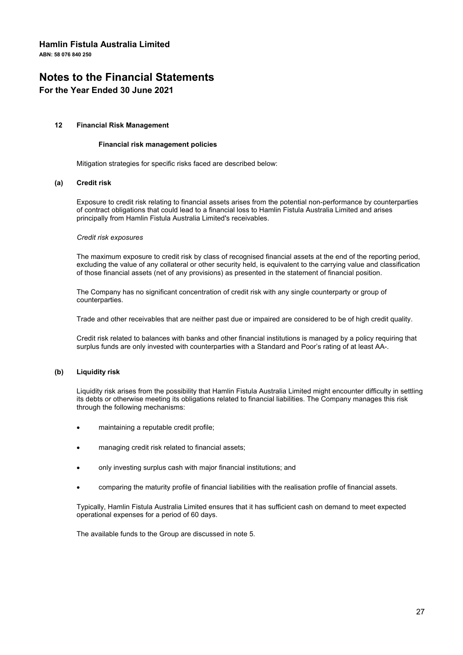# **Notes to the Financial Statements**

**For the Year Ended 30 June 2021**

#### **12 Financial Risk Management**

#### **Financial risk management policies**

Mitigation strategies for specific risks faced are described below:

#### **(a) Credit risk**

Exposure to credit risk relating to financial assets arises from the potential non-performance by counterparties of contract obligations that could lead to a financial loss to Hamlin Fistula Australia Limited and arises principally from Hamlin Fistula Australia Limited's receivables.

#### *Credit risk exposures*

The maximum exposure to credit risk by class of recognised financial assets at the end of the reporting period, excluding the value of any collateral or other security held, is equivalent to the carrying value and classification of those financial assets (net of any provisions) as presented in the statement of financial position.

The Company has no significant concentration of credit risk with any single counterparty or group of counterparties.

Trade and other receivables that are neither past due or impaired are considered to be of high credit quality.

Credit risk related to balances with banks and other financial institutions is managed by a policy requiring that surplus funds are only invested with counterparties with a Standard and Poor's rating of at least AA-.

#### **(b) Liquidity risk**

Liquidity risk arises from the possibility that Hamlin Fistula Australia Limited might encounter difficulty in settling its debts or otherwise meeting its obligations related to financial liabilities. The Company manages this risk through the following mechanisms:

- maintaining a reputable credit profile;
- managing credit risk related to financial assets;
- only investing surplus cash with major financial institutions; and
- comparing the maturity profile of financial liabilities with the realisation profile of financial assets.

Typically, Hamlin Fistula Australia Limited ensures that it has sufficient cash on demand to meet expected operational expenses for a period of 60 days.

The available funds to the Group are discussed in note 5.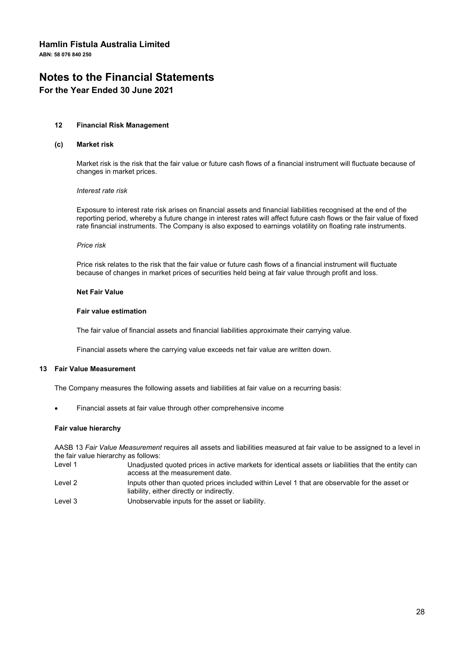**Notes to the Financial Statements**

**For the Year Ended 30 June 2021**

#### **12 Financial Risk Management**

**(c) Market risk**

Market risk is the risk that the fair value or future cash flows of a financial instrument will fluctuate because of changes in market prices.

#### *Interest rate risk*

Exposure to interest rate risk arises on financial assets and financial liabilities recognised at the end of the reporting period, whereby a future change in interest rates will affect future cash flows or the fair value of fixed rate financial instruments. The Company is also exposed to earnings volatility on floating rate instruments.

#### *Price risk*

Price risk relates to the risk that the fair value or future cash flows of a financial instrument will fluctuate because of changes in market prices of securities held being at fair value through profit and loss.

#### **Net Fair Value**

#### **Fair value estimation**

The fair value of financial assets and financial liabilities approximate their carrying value.

Financial assets where the carrying value exceeds net fair value are written down.

#### **13 Fair Value Measurement**

The Company measures the following assets and liabilities at fair value on a recurring basis:

Financial assets at fair value through other comprehensive income

#### **Fair value hierarchy**

AASB 13 *Fair Value Measurement* requires all assets and liabilities measured at fair value to be assigned to a level in the fair value hierarchy as follows:

- Level 1 Unadjusted quoted prices in active markets for identical assets or liabilities that the entity can access at the measurement date.
- Level 2 Inputs other than quoted prices included within Level 1 that are observable for the asset or liability, either directly or indirectly.
- Level 3 Unobservable inputs for the asset or liability.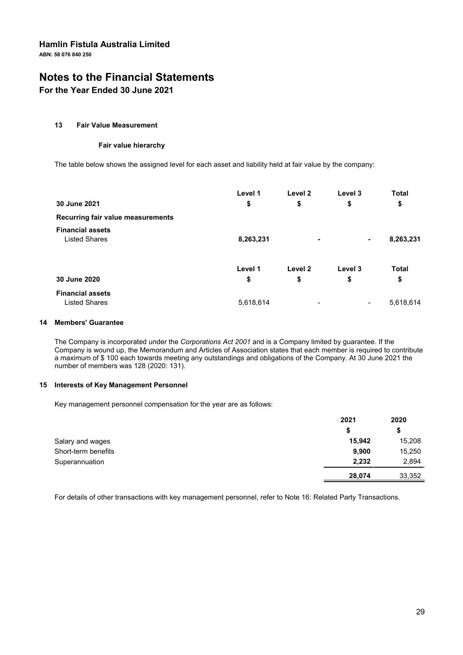# **Notes to the Financial Statements**

**For the Year Ended 30 June 2021**

#### **13 Fair Value Measurement**

#### **Fair value hierarchy**

The table below shows the assigned level for each asset and liability held at fair value by the company:

|                                                 | Level 1       | Level 2       | Level 3                                                                                                                                                      | <b>Total</b>       |
|-------------------------------------------------|---------------|---------------|--------------------------------------------------------------------------------------------------------------------------------------------------------------|--------------------|
| 30 June 2021                                    | \$            | \$            | \$                                                                                                                                                           | \$                 |
| Recurring fair value measurements               |               |               |                                                                                                                                                              |                    |
| <b>Financial assets</b><br><b>Listed Shares</b> | 8,263,231     | ٠             | ۰                                                                                                                                                            | 8,263,231          |
| 30 June 2020                                    | Level 1<br>\$ | Level 2<br>\$ | Level 3<br>\$                                                                                                                                                | <b>Total</b><br>\$ |
| <b>Financial assets</b><br><b>Listed Shares</b> | 5,618,614     | $\,$          | $\hskip1.6pt\hskip1.6pt\hskip1.6pt\hskip1.6pt\hskip1.6pt\hskip1.6pt\hskip1.6pt\hskip1.6pt\hskip1.6pt\hskip1.6pt\hskip1.6pt\hskip1.6pt\hskip1.6pt\hskip1.6pt$ | 5,618,614          |

#### **14 Members' Guarantee**

The Company is incorporated under the *Corporations Act 2001* and is a Company limited by guarantee. If the Company is wound up, the Memorandum and Articles of Association states that each member is required to contribute a maximum of \$ 100 each towards meeting any outstandings and obligations of the Company. At 30 June 2021 the number of members was 128 (2020: 131).

#### **15 Interests of Key Management Personnel**

Key management personnel compensation for the year are as follows:

|                     | 2021   | 2020   |
|---------------------|--------|--------|
|                     | S      | \$     |
| Salary and wages    | 15,942 | 15,208 |
| Short-term benefits | 9,900  | 15,250 |
| Superannuation      | 2,232  | 2,894  |
|                     | 28,074 | 33,352 |

For details of other transactions with key management personnel, refer to Note 16: Related Party Transactions.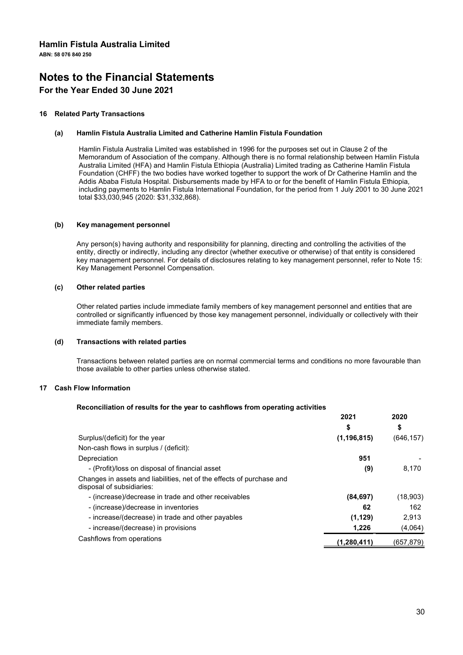# **Notes to the Financial Statements**

#### **For the Year Ended 30 June 2021**

#### **16 Related Party Transactions**

#### **(a) Hamlin Fistula Australia Limited and Catherine Hamlin Fistula Foundation**

Hamlin Fistula Australia Limited was established in 1996 for the purposes set out in Clause 2 of the Memorandum of Association of the company. Although there is no formal relationship between Hamlin Fistula Australia Limited (HFA) and Hamlin Fistula Ethiopia (Australia) Limited trading as Catherine Hamlin Fistula Foundation (CHFF) the two bodies have worked together to support the work of Dr Catherine Hamlin and the Addis Ababa Fistula Hospital. Disbursements made by HFA to or for the benefit of Hamlin Fistula Ethiopia, including payments to Hamlin Fistula International Foundation, for the period from 1 July 2001 to 30 June 2021 total \$33,030,945 (2020: \$31,332,868).

#### **(b) Key management personnel**

Any person(s) having authority and responsibility for planning, directing and controlling the activities of the entity, directly or indirectly, including any director (whether executive or otherwise) of that entity is considered key management personnel. For details of disclosures relating to key management personnel, refer to Note 15: Key Management Personnel Compensation.

#### **(c) Other related parties**

Other related parties include immediate family members of key management personnel and entities that are controlled or significantly influenced by those key management personnel, individually or collectively with their immediate family members.

#### **(d) Transactions with related parties**

Transactions between related parties are on normal commercial terms and conditions no more favourable than those available to other parties unless otherwise stated.

#### **17 Cash Flow Information**

#### **Reconciliation of results for the year to cashflows from operating activities**

|                                                                                                    | 2021<br>\$    | 2020<br>\$ |
|----------------------------------------------------------------------------------------------------|---------------|------------|
|                                                                                                    |               |            |
| Surplus/(deficit) for the year                                                                     | (1, 196, 815) | (646, 157) |
| Non-cash flows in surplus / (deficit):                                                             |               |            |
| Depreciation                                                                                       | 951           |            |
| - (Profit)/loss on disposal of financial asset                                                     | (9)           | 8,170      |
| Changes in assets and liabilities, net of the effects of purchase and<br>disposal of subsidiaries: |               |            |
| - (increase)/decrease in trade and other receivables                                               | (84, 697)     | (18,903)   |
| - (increase)/decrease in inventories                                                               | 62            | 162        |
| - increase/(decrease) in trade and other payables                                                  | (1, 129)      | 2,913      |
| - increase/(decrease) in provisions                                                                | 1.226         | (4,064)    |
| Cashflows from operations                                                                          | (1.280.411)   | (657,879)  |